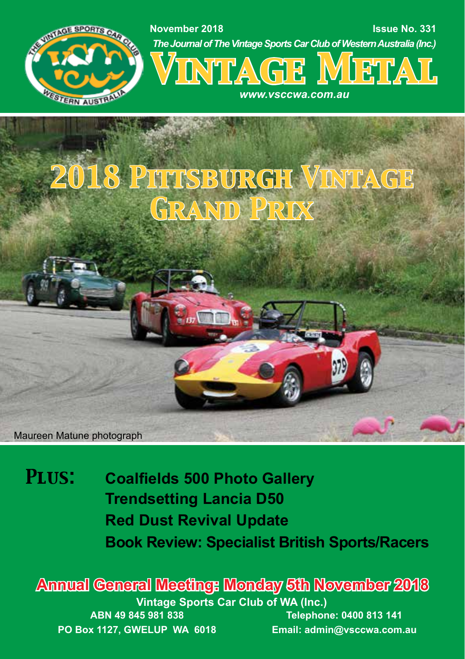

## *2018 Pittsburgh Vintage Grand Prix*

Maureen Matune photograph

*Plus:* **Coalfields 500 Photo Gallery Trendsetting Lancia D50 Red Dust Revival Update Book Review: Specialist British Sports/Racers**

**Vintage Sports Car Club of WA (Inc.) ABN 49 845 981 838 PO Box 1127, GWELUP WA 6018 Telephone: 0400 813 141 Email: admin@vsccwa.com.au Annual General Meeting: Monday 5th November 2018**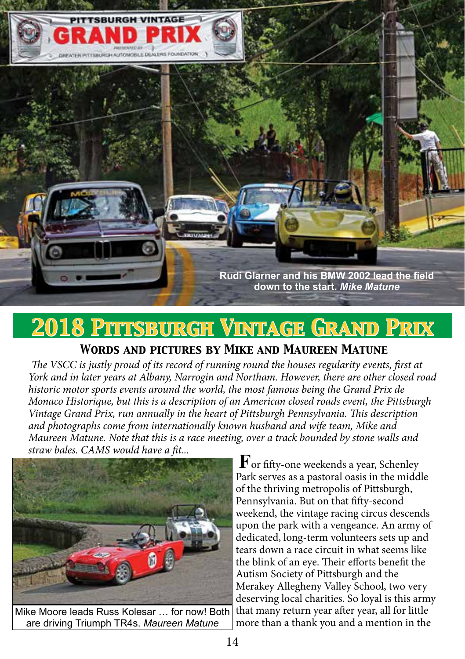

## *2018 Pittsburgh Vintage Grand Prix*

## *Words and pictures by Mike and Maureen Matune*

*The VSCC is justly proud of its record of running round the houses regularity events, first at York and in later years at Albany, Narrogin and Northam. However, there are other closed road historic motor sports events around the world, the most famous being the Grand Prix de Monaco Historique, but this is a description of an American closed roads event, the Pittsburgh Vintage Grand Prix, run annually in the heart of Pittsburgh Pennsylvania. This description and photographs come from internationally known husband and wife team, Mike and Maureen Matune. Note that this is a race meeting, over a track bounded by stone walls and straw bales. CAMS would have a fit...*



are driving Triumph TR4s. *Maureen Matune*

**F**or fifty-one weekends a year, Schenley Park serves as a pastoral oasis in the middle of the thriving metropolis of Pittsburgh, Pennsylvania. But on that fifty-second weekend, the vintage racing circus descends upon the park with a vengeance. An army of dedicated, long-term volunteers sets up and tears down a race circuit in what seems like the blink of an eye. Their efforts benefit the Autism Society of Pittsburgh and the Merakey Allegheny Valley School, two very deserving local charities. So loyal is this army that many return year after year, all for little more than a thank you and a mention in the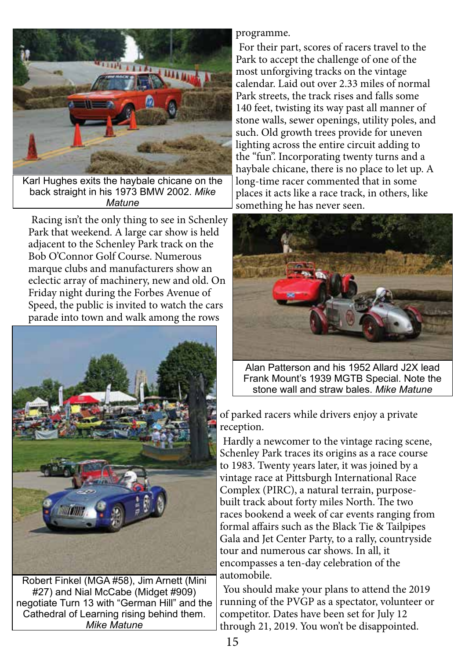

Karl Hughes exits the haybale chicane on the back straight in his 1973 BMW 2002. *Mike Matune*

Racing isn't the only thing to see in Schenley Park that weekend. A large car show is held adjacent to the Schenley Park track on the Bob O'Connor Golf Course. Numerous marque clubs and manufacturers show an eclectic array of machinery, new and old. On Friday night during the Forbes Avenue of Speed, the public is invited to watch the cars parade into town and walk among the rows



Robert Finkel (MGA #58), Jim Arnett (Mini #27) and Nial McCabe (Midget #909) negotiate Turn 13 with "German Hill" and the Cathedral of Learning rising behind them. *Mike Matune*

programme.

For their part, scores of racers travel to the Park to accept the challenge of one of the most unforgiving tracks on the vintage calendar. Laid out over 2.33 miles of normal Park streets, the track rises and falls some 140 feet, twisting its way past all manner of stone walls, sewer openings, utility poles, and such. Old growth trees provide for uneven lighting across the entire circuit adding to the "fun". Incorporating twenty turns and a haybale chicane, there is no place to let up. A long-time racer commented that in some places it acts like a race track, in others, like something he has never seen.



Alan Patterson and his 1952 Allard J2X lead Frank Mount's 1939 MGTB Special. Note the stone wall and straw bales. *Mike Matune*

of parked racers while drivers enjoy a private reception.

Hardly a newcomer to the vintage racing scene, Schenley Park traces its origins as a race course to 1983. Twenty years later, it was joined by a vintage race at Pittsburgh International Race Complex (PIRC), a natural terrain, purposebuilt track about forty miles North. The two races bookend a week of car events ranging from formal affairs such as the Black Tie & Tailpipes Gala and Jet Center Party, to a rally, countryside tour and numerous car shows. In all, it encompasses a ten-day celebration of the automobile.

You should make your plans to attend the 2019 running of the PVGP as a spectator, volunteer or competitor. Dates have been set for July 12 through 21, 2019. You won't be disappointed.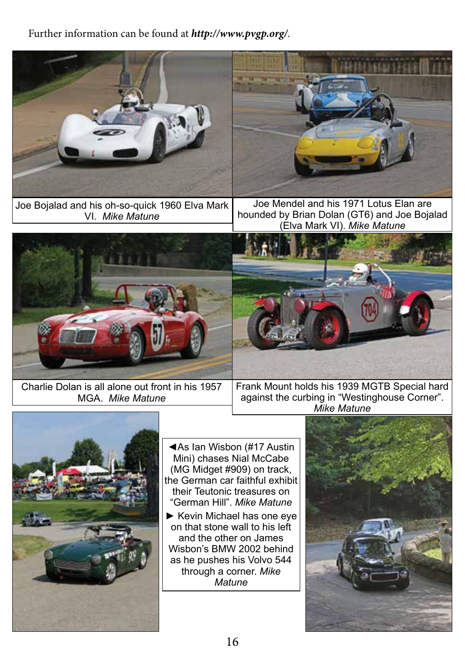## Further information can be found at *http://www.pvgp.org/*.

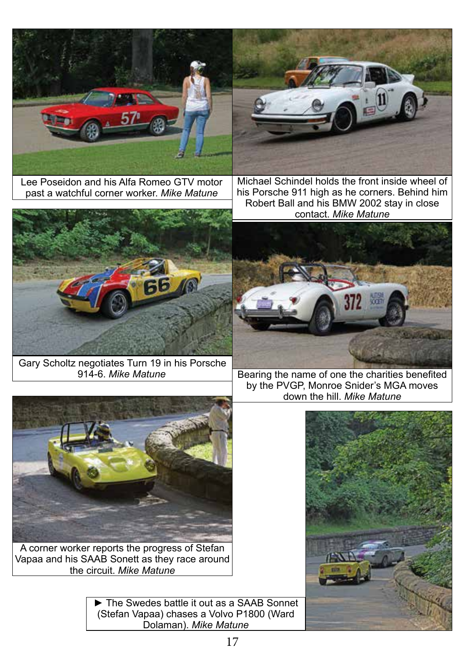

Lee Poseidon and his Alfa Romeo GTV motor past a watchful corner worker. *Mike Matune*



Michael Schindel holds the front inside wheel of his Porsche 911 high as he corners. Behind him Robert Ball and his BMW 2002 stay in close contact. *Mike Matune*



Gary Scholtz negotiates Turn 19 in his Porsche<br>914-6. Mike Matune



Bearing the name of one the charities benefited by the PVGP, Monroe Snider's MGA moves down the hill. *Mike Matune*



A corner worker reports the progress of Stefan Vapaa and his SAAB Sonett as they race around the circuit. *Mike Matune*

> ► The Swedes battle it out as a SAAB Sonnet (Stefan Vapaa) chases a Volvo P1800 (Ward Dolaman). *Mike Matune*